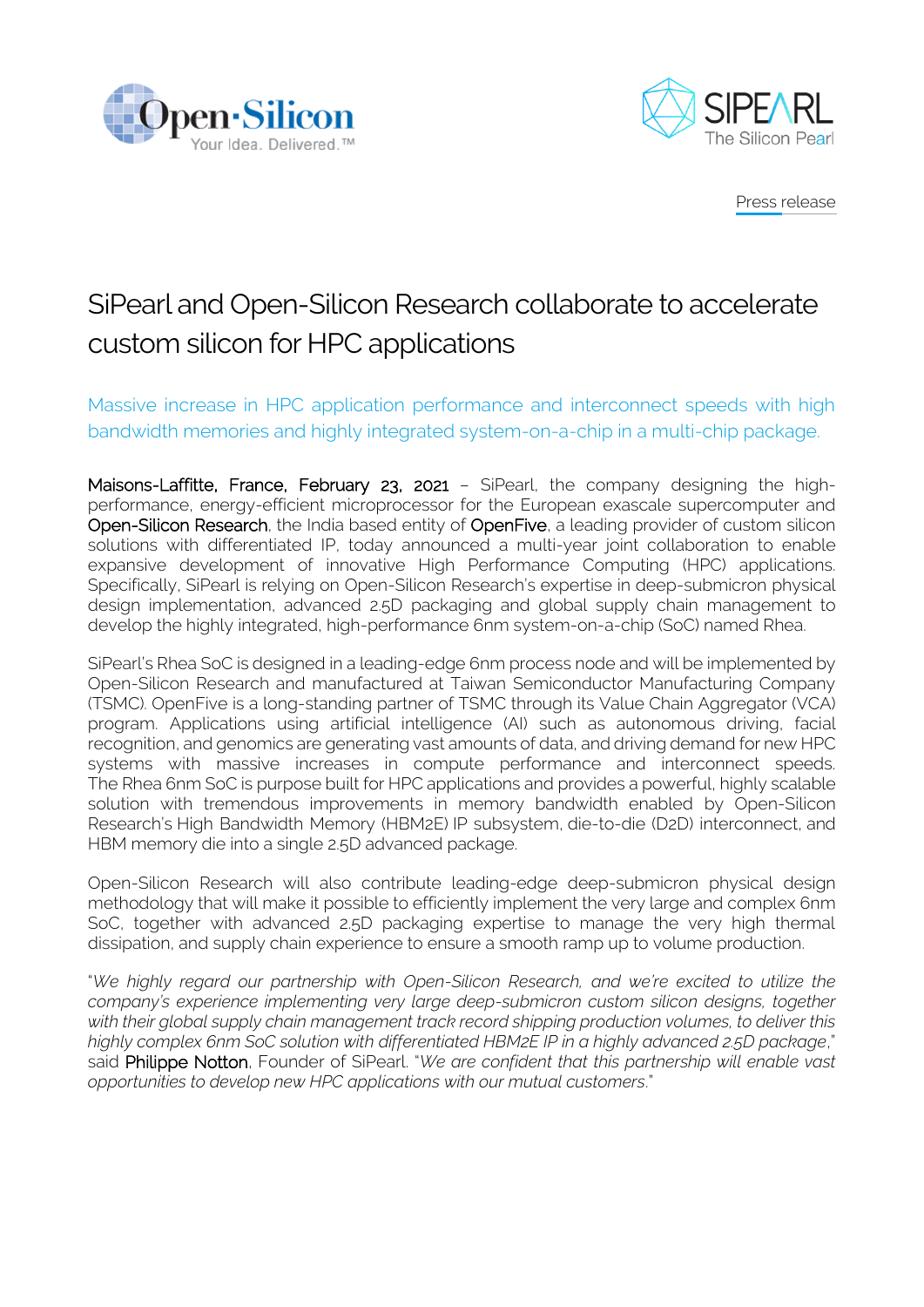



Press release

## SiPearl and Open-Silicon Research collaborate to accelerate custom silicon for HPC applications

Massive increase in HPC application performance and interconnect speeds with high bandwidth memories and highly integrated system-on-a-chip in a multi-chip package.

Maisons-Laffitte, France, February 23, 2021 - SiPearl, the company designing the highperformance, energy-efficient microprocessor for the European exascale supercomputer and Open-Silicon Research, the India based entity of OpenFive, a leading provider of custom silicon solutions with differentiated IP, today announced a multi-year joint collaboration to enable expansive development of innovative High Performance Computing (HPC) applications. Specifically, SiPearl is relying on Open-Silicon Research's expertise in deep-submicron physical design implementation, advanced 2.5D packaging and global supply chain management to develop the highly integrated, high-performance 6nm system-on-a-chip (SoC) named Rhea.

SiPearl's Rhea SoC is designed in a leading-edge 6nm process node and will be implemented by Open-Silicon Research and manufactured at Taiwan Semiconductor Manufacturing Company (TSMC). OpenFive is a long-standing partner of TSMC through its Value Chain Aggregator (VCA) program. Applications using artificial intelligence (AI) such as autonomous driving, facial recognition, and genomics are generating vast amounts of data, and driving demand for new HPC systems with massive increases in compute performance and interconnect speeds. The Rhea 6nm SoC is purpose built for HPC applications and provides a powerful, highly scalable solution with tremendous improvements in memory bandwidth enabled by Open-Silicon Research's High Bandwidth Memory (HBM2E) IP subsystem, die-to-die (D2D) interconnect, and HBM memory die into a single 2.5D advanced package.

Open-Silicon Research will also contribute leading-edge deep-submicron physical design methodology that will make it possible to efficiently implement the very large and complex 6nm SoC, together with advanced 2.5D packaging expertise to manage the very high thermal dissipation, and supply chain experience to ensure a smooth ramp up to volume production.

"*We highly regard our partnership with Open-Silicon Research, and we're excited to utilize the company's experience implementing very large deep-submicron custom silicon designs, together with their global supply chain management track record shipping production volumes, to deliver this highly complex 6nm SoC solution with differentiated HBM2E IP in a highly advanced 2.5D package*," said Philippe Notton, Founder of SiPearl. "*We are confident that this partnership will enable vast opportunities to develop new HPC applications with our mutual customers*."